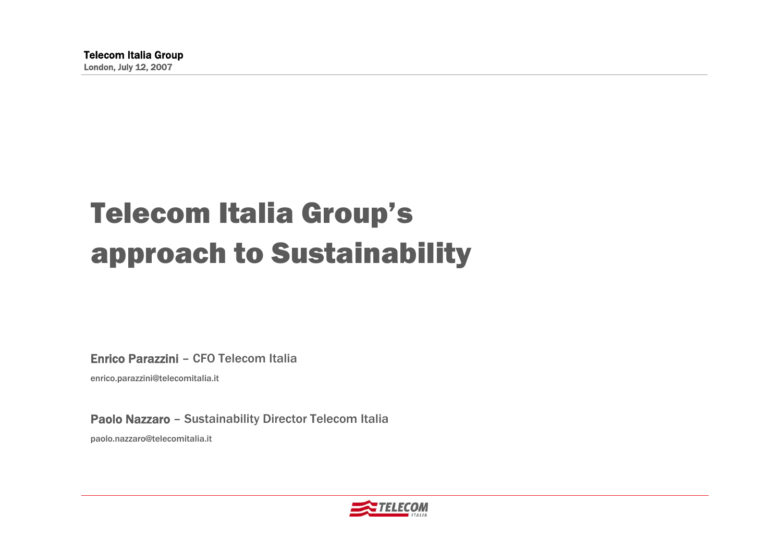# Telecom Italia Group's approach to Sustainability

Enrico Parazzini – CFO Telecom Italia

enrico.parazzini@telecomitalia.it

Paolo Nazzaro – Sustainability Director Telecom Italia paolo.nazzaro@telecomitalia.it

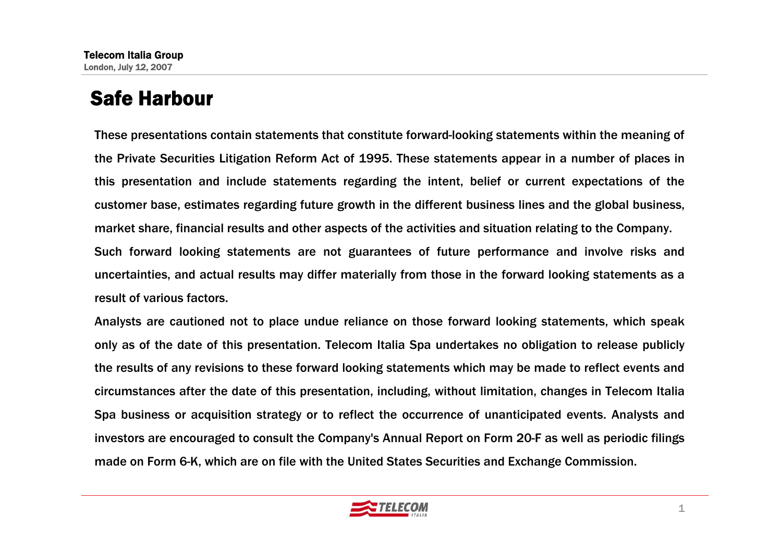# Safe Harbour

These presentations contain statements that constitute forward-looking statements within the meaning of the Private Securities Litigation Reform Act of 1995. These statements appear in a number of places in this presentation and include statements regarding the intent, belief or current expectations of the customer base, estimates regarding future growth in the different business lines and the global business, market share, financial results and other aspects of the activities and situation relating to the Company. Such forward looking statements are not guarantees of future performance and involve risks and uncertainties, and actual results may differ materially from those in the forward looking statements as a result of various factors.

Analysts are cautioned not to place undue reliance on those forward looking statements, which speak only as of the date of this presentation. Telecom Italia Spa undertakes no obligation to release publicly the results of any revisions to these forward looking statements which may be made to reflect events and circumstances after the date of this presentation, including, without limitation, changes in Telecom Italia Spa business or acquisition strategy or to reflect the occurrence of unanticipated events. Analysts and investors are encouraged to consult the Company's Annual Report on Form 20-F as well as periodic filings made on Form 6-K, which are on file with the United States Securities and Exchange Commission.

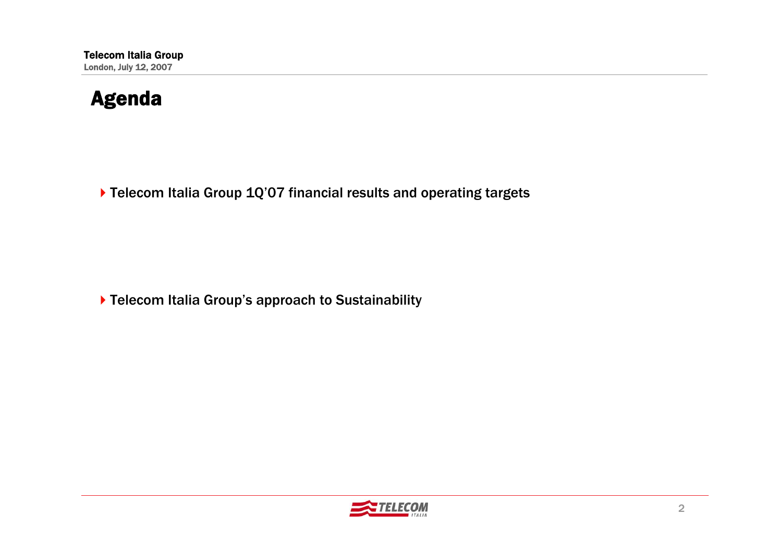#### Agenda

▶ Telecom Italia Group 1Q'07 financial results and operating targets

▶ Telecom Italia Group's approach to Sustainability

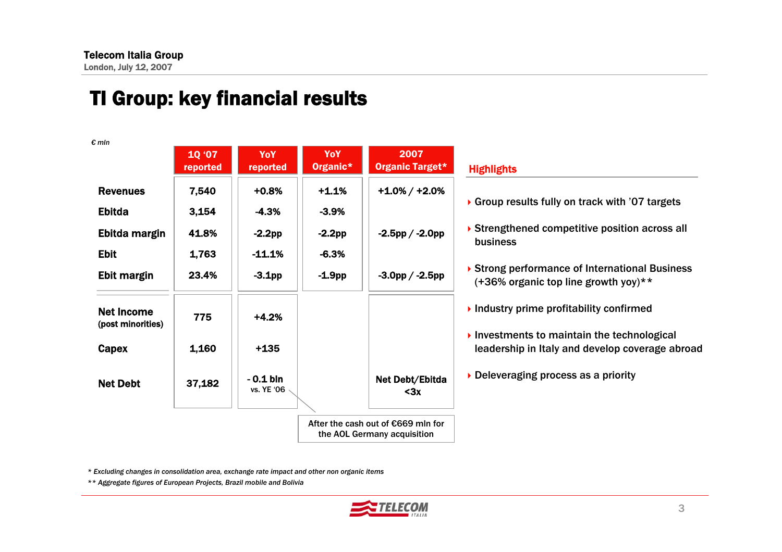# TI Group: key financial results

|                                        | 10 '07<br>reported | YoY<br>reported                  | YoY<br>Organic* | 2007<br><b>Organic Target*</b>                                    | <b>Highlights</b>                                                                                                  |
|----------------------------------------|--------------------|----------------------------------|-----------------|-------------------------------------------------------------------|--------------------------------------------------------------------------------------------------------------------|
| <b>Revenues</b>                        | 7,540              | $+0.8%$                          | $+1.1%$         | $+1.0\% / +2.0\%$                                                 |                                                                                                                    |
| <b>Ebitda</b>                          | 3,154              | $-4.3%$                          | $-3.9%$         |                                                                   | Group results fully on track with '07 targets'                                                                     |
| Ebitda margin                          | 41.8%              | $-2.2pp$                         | $-2.2$ pp       | $-2.5$ pp / $-2.0$ pp                                             | ▶ Strengthened competitive position across all<br>business                                                         |
| <b>Ebit</b>                            | 1,763              | $-11.1%$                         | $-6.3%$         |                                                                   |                                                                                                                    |
| Ebit margin                            | 23.4%              | $-3.1$ pp                        | $-1.9pp$        | $-3.0$ pp / $-2.5$ pp                                             | ▶ Strong performance of International Business<br>$(+36\%$ organic top line growth yoy)**                          |
| <b>Net Income</b><br>(post minorities) | 775                | $+4.2%$                          |                 |                                                                   | $\blacktriangleright$ Industry prime profitability confirmed                                                       |
| Capex                                  | 1,160              | $+135$                           |                 |                                                                   | $\blacktriangleright$ Investments to maintain the technological<br>leadership in Italy and develop coverage abroad |
| <b>Net Debt</b>                        | 37,182             | $-0.1$ bin<br>vs. YE '06 $\cdot$ |                 | Net Debt/Ebitda<br>$3x$                                           | Deleveraging process as a priority                                                                                 |
|                                        |                    |                                  |                 | After the cash out of €669 mln for<br>the AOL Germany acquisition |                                                                                                                    |

*\* Excluding changes in consolidation area, exchange rate impact and other non organic items*

*\*\* Aggregate figures of European Projects, Brazil mobile and Bolivia*

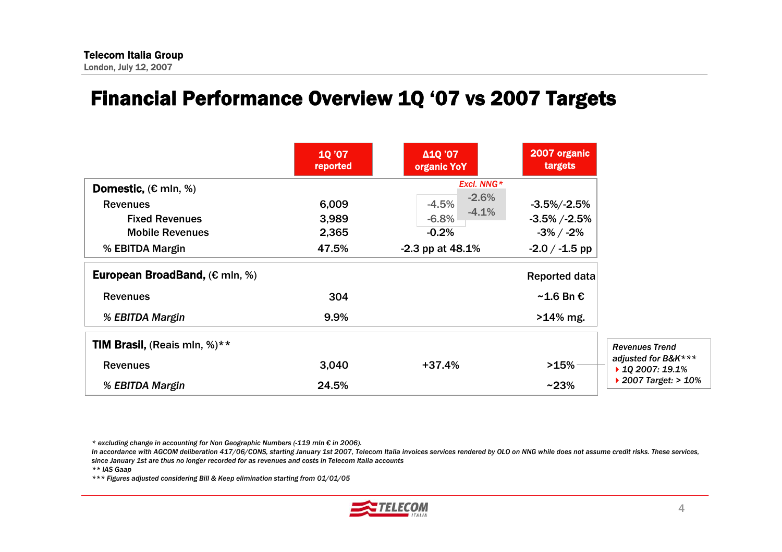#### Financial Performance Overview 1Q '07 vs 2007 Targets

|                                                   | 10'07<br>reported | Δ1Q'07<br>organic YoY | 2007 organic<br>targets |
|---------------------------------------------------|-------------------|-----------------------|-------------------------|
| <b>Domestic, <math>(E \text{ min}, \%)</math></b> |                   | Excl. NNG*            |                         |
| <b>Revenues</b>                                   | 6,009             | $-2.6%$<br>$-4.5%$    | $-3.5\%/ -2.5\%$        |
| <b>Fixed Revenues</b>                             | 3,989             | $-4.1%$<br>$-6.8\%$   | $-3.5\%$ /-2.5%         |
| <b>Mobile Revenues</b>                            | 2,365             | $-0.2%$               | $-3\%$ / $-2\%$         |
| % EBITDA Margin                                   | 47.5%             | $-2.3$ pp at $48.1\%$ | $-2.0 / -1.5$ pp        |
| European BroadBand, $(\epsilon \text{ min}, \%)$  |                   |                       | <b>Reported data</b>    |
| <b>Revenues</b>                                   | 304               |                       | $~1.6$ Bn $~6$          |
| % EBITDA Margin                                   | 9.9%              |                       | $>14\%$ mg.             |
| <b>TIM Brasil, (Reais mln, %)**</b>               |                   |                       |                         |
| <b>Revenues</b>                                   | 3,040             | $+37.4%$              | >15%                    |
| % EBITDA Margin                                   | 24.5%             |                       | $~23\%$                 |

*\* excluding change in accounting for Non Geographic Numbers (-119 mln € in 2006).* 

*In accordance with AGCOM deliberation 417/06/CONS, starting January 1st 2007, Telecom Italia invoices services rendered by OLO on NNG while does not assume credit risks. These services, since January 1st are thus no longer recorded for as revenues and costs in Telecom Italia accounts*

*\*\* IAS Gaap*

*\*\*\* Figures adjusted considering Bill & Keep elimination starting from 01/01/05* 

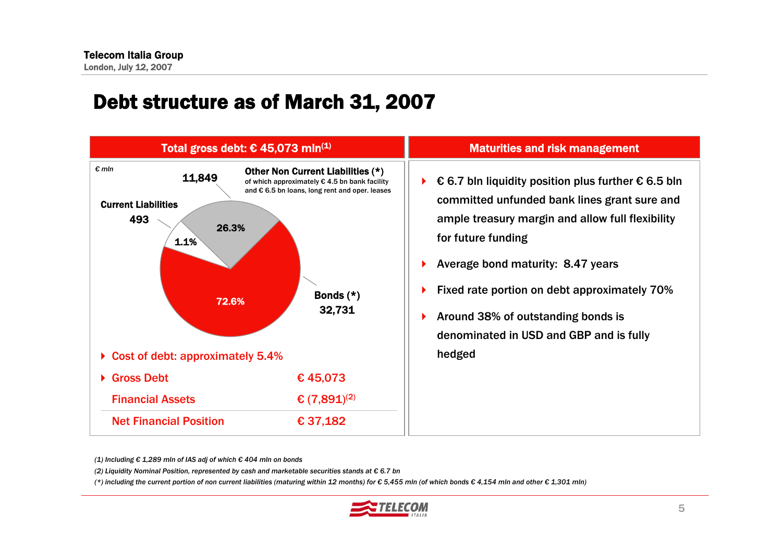#### Debt structure as of March 31, 2007



|                           | <b>Maturities and risk management</b>                                                                                                                                                |
|---------------------------|--------------------------------------------------------------------------------------------------------------------------------------------------------------------------------------|
| $(*)$<br>ıcility<br>eases | € 6.7 bln liquidity position plus further $∈$ 6.5 bln<br>▶<br>committed unfunded bank lines grant sure and<br>ample treasury margin and allow full flexibility<br>for future funding |
|                           | Average bond maturity: 8.47 years<br>▶                                                                                                                                               |
|                           | Fixed rate portion on debt approximately 70%<br>▶                                                                                                                                    |
|                           | Around 38% of outstanding bonds is<br>▶<br>denominated in USD and GBP and is fully<br>hedged                                                                                         |

*(1) Including € 1,289 mln of IAS adj of which € 404 mln on bonds*

*(2) Liquidity Nominal Position, represented by cash and marketable securities stands at € 6.7 bn*

(\*) including the current portion of non current liabilities (maturing within 12 months) for  $\epsilon$  5,455 mln (of which bonds  $\epsilon$  4,154 mln and other  $\epsilon$  1,301 mln)

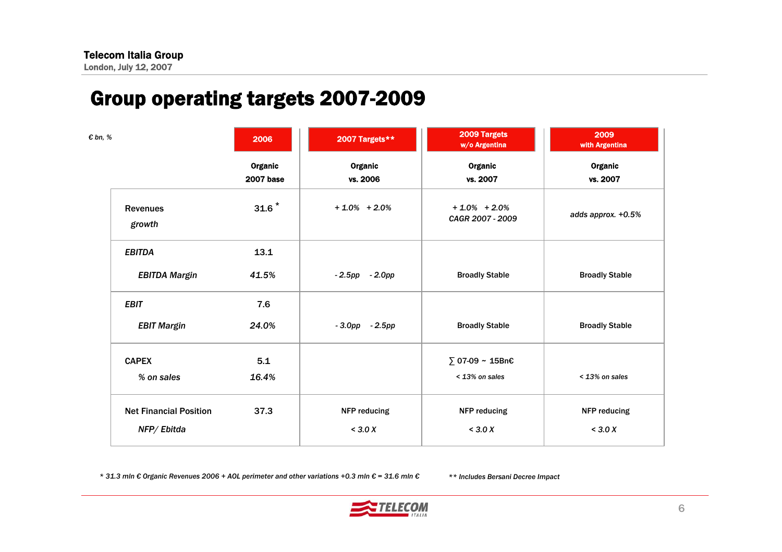# Group operating targets 2007-2009

| € bn, %                       | 2006                        | 2007 Targets**      | 2009 Targets<br>w/o Argentina        | 2009<br>with Argentina |
|-------------------------------|-----------------------------|---------------------|--------------------------------------|------------------------|
|                               | Organic<br><b>2007 base</b> | Organic<br>vs. 2006 | Organic<br>vs. 2007                  | Organic<br>vs. 2007    |
| <b>Revenues</b><br>growth     | $31.6$ <sup>*</sup>         | $+1.0\% + 2.0\%$    | $+1.0\% + 2.0\%$<br>CAGR 2007 - 2009 | adds approx. +0.5%     |
| <b>EBITDA</b>                 | 13.1                        |                     |                                      |                        |
| <b>EBITDA Margin</b>          | 41.5%                       | $-2.5$ pp $-2.0$ pp | <b>Broadly Stable</b>                | <b>Broadly Stable</b>  |
| <b>EBIT</b>                   | 7.6                         |                     |                                      |                        |
| <b>EBIT Margin</b>            | 24.0%                       | $-3.0$ pp $-2.5$ pp | <b>Broadly Stable</b>                | <b>Broadly Stable</b>  |
| <b>CAPEX</b>                  | 5.1                         |                     | ∑ 07-09 ~ 15Bn€                      |                        |
| % on sales                    | 16.4%                       |                     | < 13% on sales                       | < 13% on sales         |
| <b>Net Financial Position</b> | 37.3                        | NFP reducing        | NFP reducing                         | NFP reducing           |
| NFP/Ebitda                    |                             | $<$ 3.0 X           | $<$ 3.0 X                            | $<$ 3.0 X              |

\* 31.3 mln € Organic Revenues 2006 + AOL perimeter and other variations +0.3 mln € = 31.6 mln €

*\*\* Includes Bersani Decree Impact* 

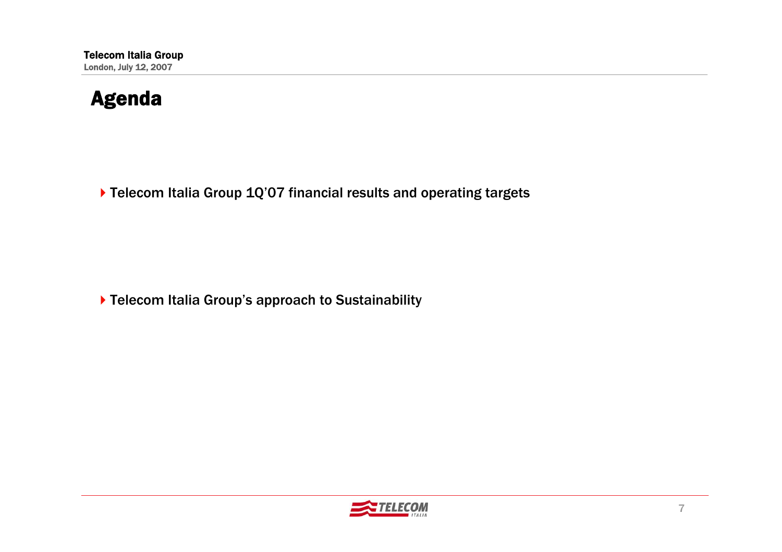#### Agenda

▶ Telecom Italia Group 1Q'07 financial results and operating targets

▶ Telecom Italia Group's approach to Sustainability

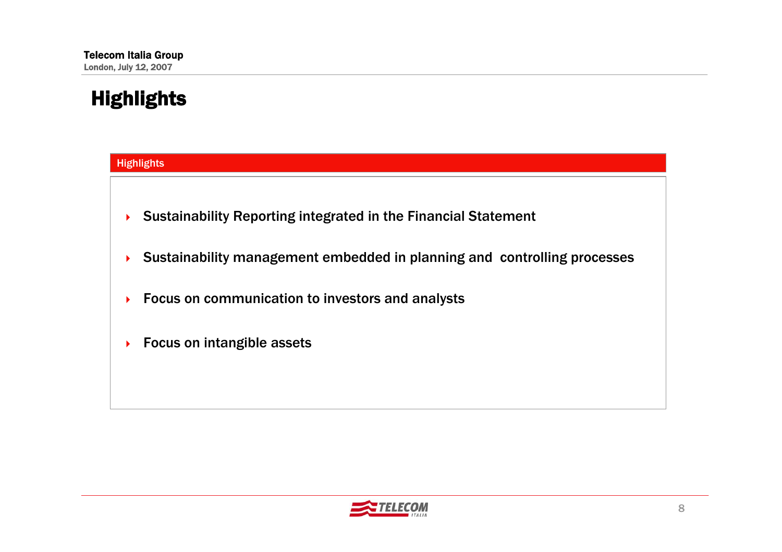# Highlights



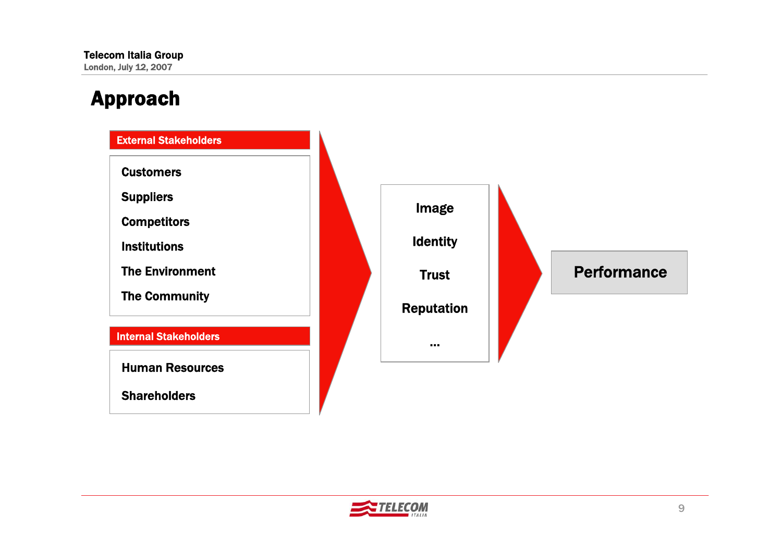# Approach



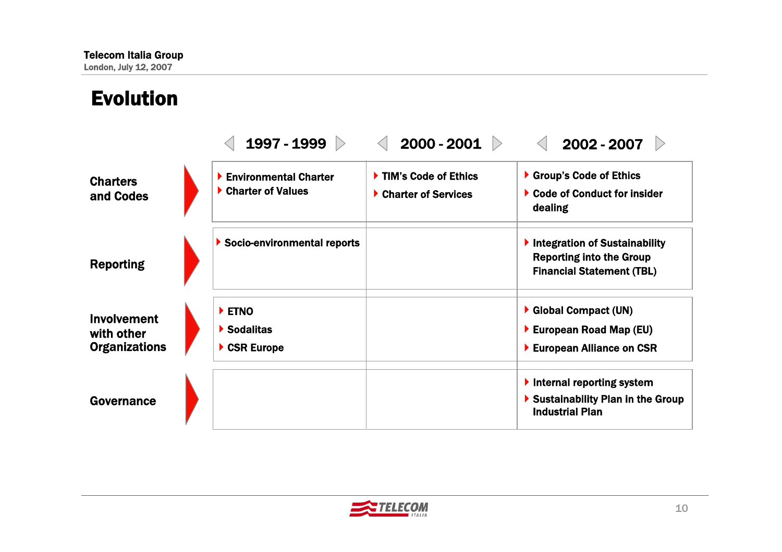Evolution

#### 1997 - 1999  $\triangleright$  $\langle$  2000 - 2001  $\rangle$  $\langle$  2002 - 2007  $\rangle$ ▶ Environmental Charter ▶ Charter of Values ▶ Socio-environmental reports **ETNO** ▶ Sodalitas ▶ CSR Europe ▶ TIM's Code of Ethics ▶ Charter of Services Group's Code of Ethics ▶ Code of Conduct for insider dealing Integration of Sustainability Reporting into the Group Financial Statement (TBL) Global Compact (UN) ▶ European Road Map (EU) ▶ European Alliance on CSR  $\blacktriangleright$  Internal reporting system ▶ Sustainability Plan in the Group Industrial PlanGovernanceInvolvementwith other**Organizations** Reporting **Charters** and Codes

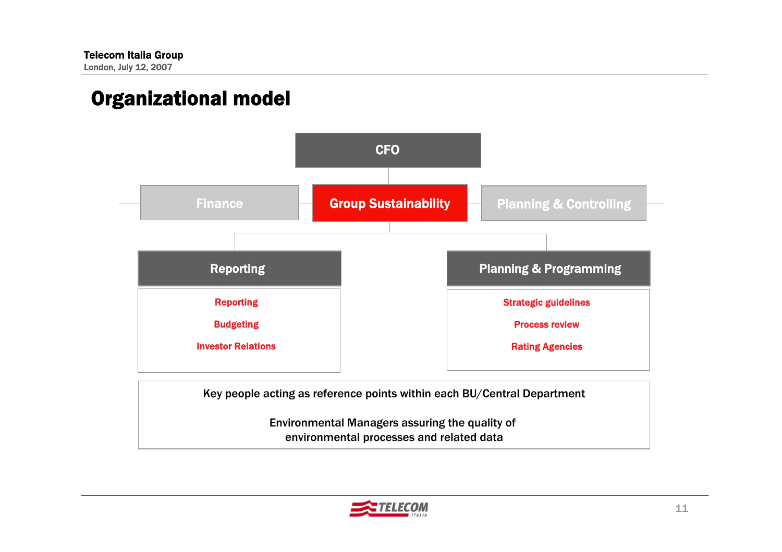# Organizational model



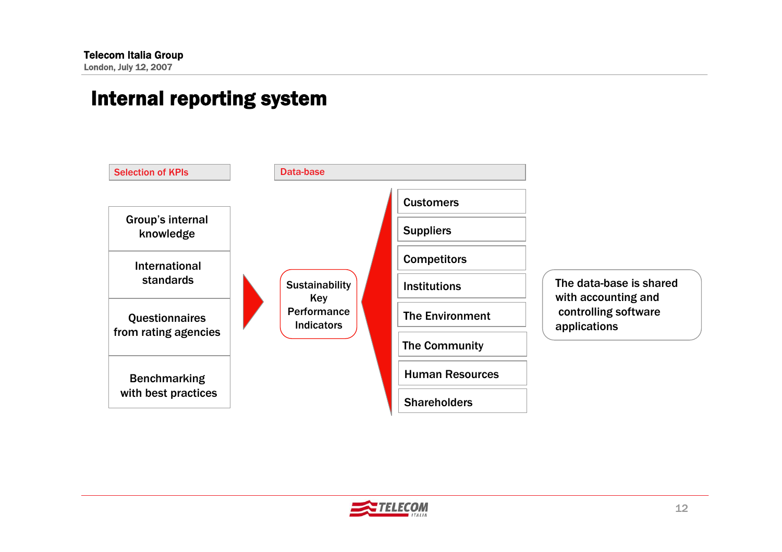#### Internal reporting system



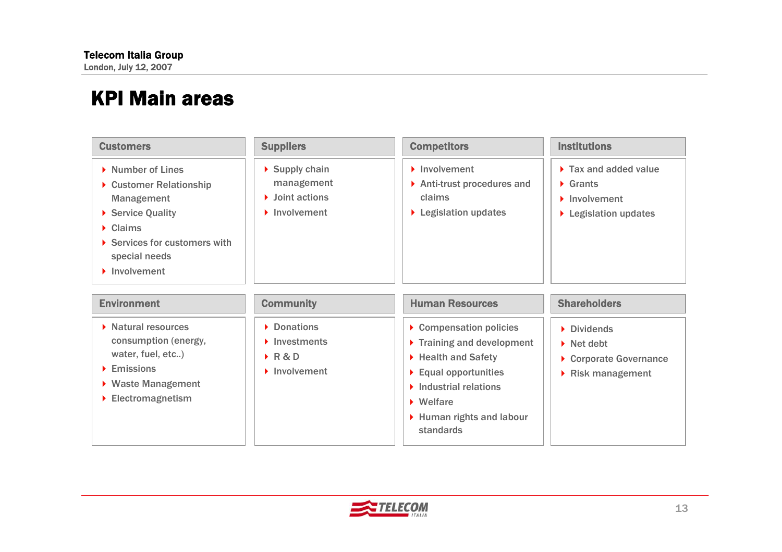| <b>Customers</b>                                                                                                                                                                                   | <b>Suppliers</b>                                                                                                        | <b>Competitors</b>                                                                                                                                                                                                                                       | <b>Institutions</b>                                                                                                           |
|----------------------------------------------------------------------------------------------------------------------------------------------------------------------------------------------------|-------------------------------------------------------------------------------------------------------------------------|----------------------------------------------------------------------------------------------------------------------------------------------------------------------------------------------------------------------------------------------------------|-------------------------------------------------------------------------------------------------------------------------------|
| Number of Lines<br>▶ Customer Relationship<br><b>Management</b><br>Service Quality<br>$\triangleright$ Claims<br>Services for customers with<br>special needs<br>$\blacktriangleright$ Involvement | $\triangleright$ Supply chain<br>management<br>$\blacktriangleright$ Joint actions<br>$\blacktriangleright$ Involvement | $\blacktriangleright$ Involvement<br>$\triangleright$ Anti-trust procedures and<br>claims<br>▶ Legislation updates                                                                                                                                       | $\triangleright$ Tax and added value<br>$\triangleright$ Grants<br>$\blacktriangleright$ Involvement<br>▶ Legislation updates |
| <b>Environment</b>                                                                                                                                                                                 | <b>Community</b>                                                                                                        | <b>Human Resources</b>                                                                                                                                                                                                                                   | <b>Shareholders</b>                                                                                                           |
| $\triangleright$ Natural resources<br>consumption (energy,<br>water, fuel, etc)<br>$\blacktriangleright$ Emissions<br>▶ Waste Management<br>Electromagnetism                                       | • Donations<br>$\blacktriangleright$ Investments<br>$\triangleright$ R&D<br>$\blacktriangleright$ Involvement           | Compensation policies<br>$\triangleright$ Training and development<br>▶ Health and Safety<br>$\blacktriangleright$ Equal opportunities<br>$\blacktriangleright$ Industrial relations<br>$\triangleright$ Welfare<br>Human rights and labour<br>standards | Dividends<br>$\triangleright$ Net debt<br>Corporate Governance<br>$\triangleright$ Risk management                            |

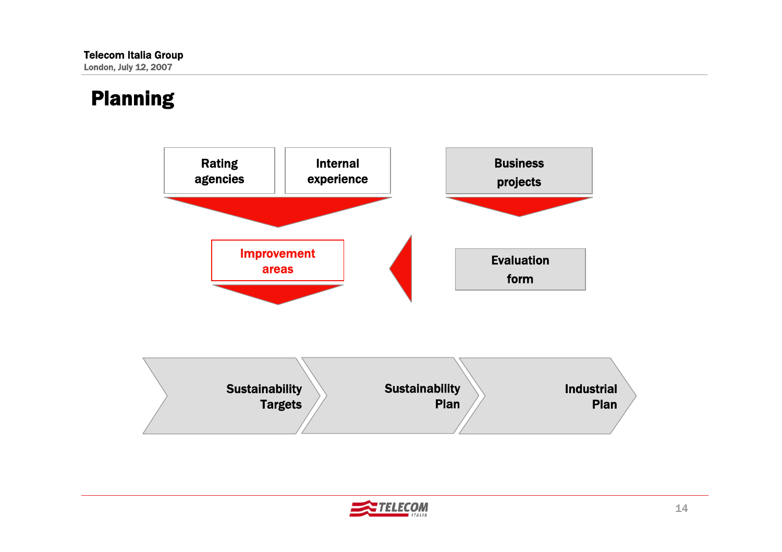# Planning



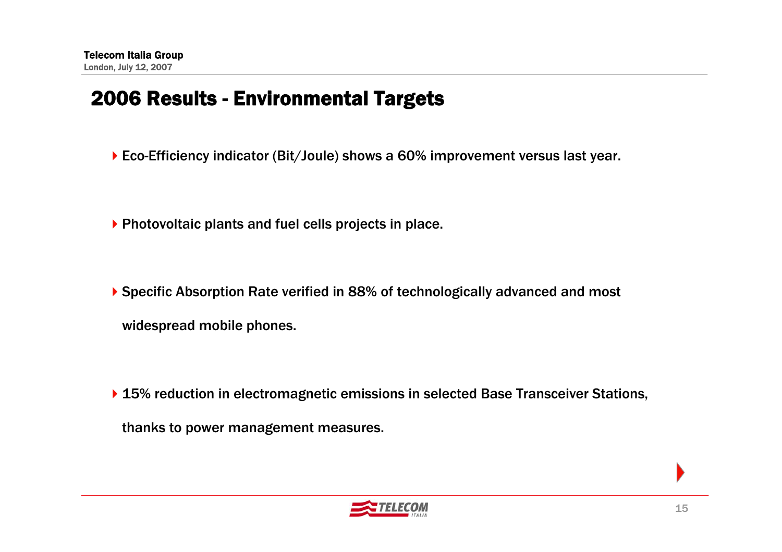#### 2006 Results - Environmental Targets

- ▶ Eco-Efficiency indicator (Bit/Joule) shows a 60% improvement versus last year.
- Photovoltaic plants and fuel cells projects in place.
- Specific Absorption Rate verified in 88% of technologically advanced and most widespread mobile phones.
- ▶ 15% reduction in electromagnetic emissions in selected Base Transceiver Stations, thanks to power management measures.

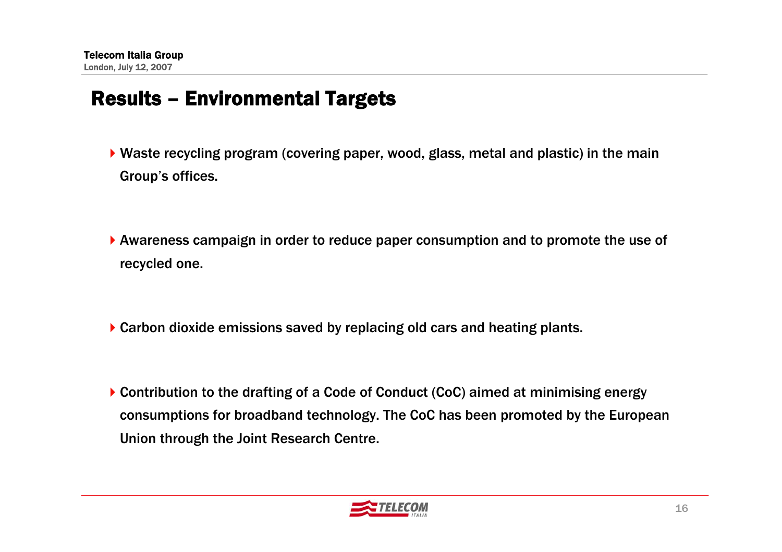#### Results – Environmental Targets

- Waste recycling program (covering paper, wood, glass, metal and plastic) in the main Group's offices.
- Awareness campaign in order to reduce paper consumption and to promote the use of recycled one.
- ▶ Carbon dioxide emissions saved by replacing old cars and heating plants.
- ▶ Contribution to the drafting of a Code of Conduct (CoC) aimed at minimising energy consumptions for broadband technology. The CoC has been promoted by the European Union through the Joint Research Centre.

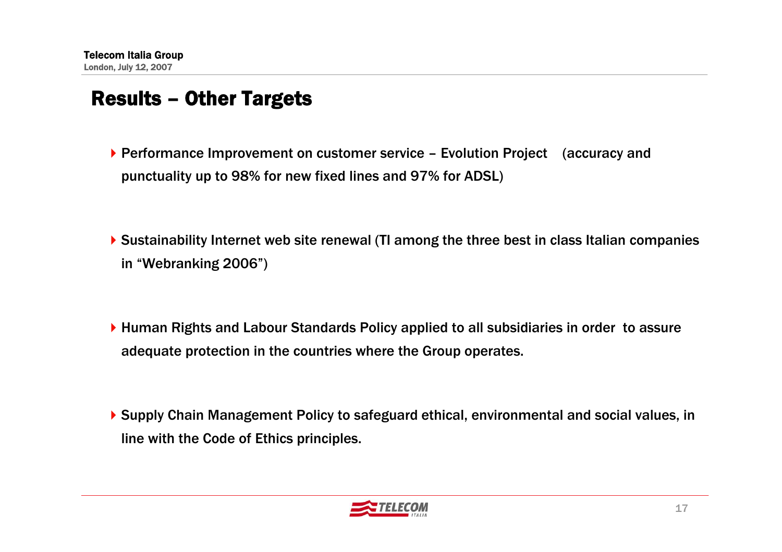#### Results – Other Targets

- ▶ Performance Improvement on customer service Evolution Project (accuracy and punctuality up to 98% for new fixed lines and 97% for ADSL)
- Sustainability Internet web site renewal (TI among the three best in class Italian companies in "Webranking 2006")
- ▶ Human Rights and Labour Standards Policy applied to all subsidiaries in order to assure adequate protection in the countries where the Group operates.
- ▶ Supply Chain Management Policy to safeguard ethical, environmental and social values, in line with the Code of Ethics principles.

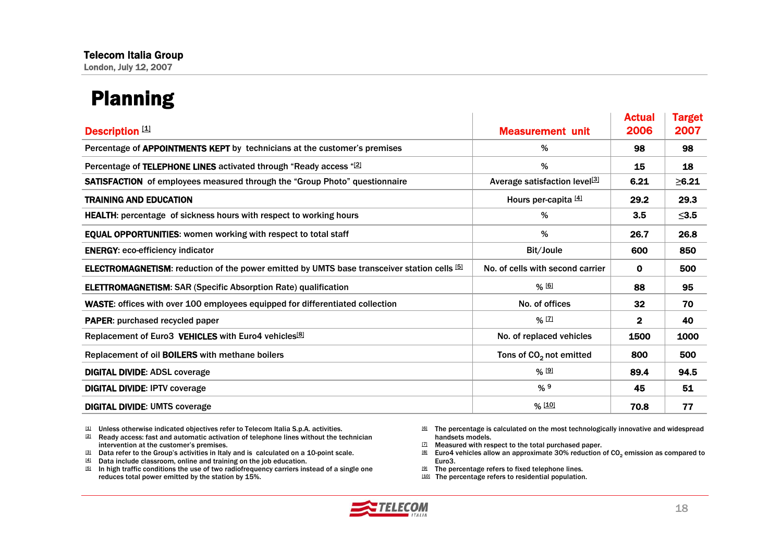# Planning

| <b>Description [1]</b>                                                                             | <b>Measurement unit</b>                   | <b>Actual</b><br>2006 | <b>Target</b><br>2007 |
|----------------------------------------------------------------------------------------------------|-------------------------------------------|-----------------------|-----------------------|
| Percentage of APPOINTMENTS KEPT by technicians at the customer's premises                          | %                                         | 98                    | 98                    |
| Percentage of TELEPHONE LINES activated through "Ready access "[2]                                 | %                                         | 15                    | 18                    |
| <b>SATISFACTION</b> of employees measured through the "Group Photo" questionnaire                  | Average satisfaction level <sup>[3]</sup> | 6.21                  | $\geq 6.21$           |
| <b>TRAINING AND EDUCATION</b>                                                                      | Hours per-capita [4]                      | 29.2                  | 29.3                  |
| <b>HEALTH:</b> percentage of sickness hours with respect to working hours                          | %                                         | 3.5                   | $\leq$ 3.5            |
| <b>EQUAL OPPORTUNITIES: women working with respect to total staff</b>                              | %                                         | 26.7                  | 26.8                  |
| <b>ENERGY: eco-efficiency indicator</b>                                                            | Bit/Joule                                 | 600                   | 850                   |
| <b>ELECTROMAGNETISM:</b> reduction of the power emitted by UMTS base transceiver station cells [5] | No. of cells with second carrier          | $\mathbf{O}$          | 500                   |
| <b>ELETTROMAGNETISM: SAR (Specific Absorption Rate) qualification</b>                              | % [6]                                     | 88                    | 95                    |
| <b>WASTE:</b> offices with over 100 employees equipped for differentiated collection               | No. of offices                            | 32                    | 70                    |
| <b>PAPER:</b> purchased recycled paper                                                             | $%$ [7]                                   | $\mathbf{2}$          | 40                    |
| Replacement of Euro3 VEHICLES with Euro4 vehicles <sup>[8]</sup>                                   | No. of replaced vehicles                  | 1500                  | 1000                  |
| Replacement of oil <b>BOILERS</b> with methane boilers                                             | Tons of CO <sub>2</sub> not emitted       | 800                   | 500                   |
| <b>DIGITAL DIVIDE: ADSL coverage</b>                                                               | % [9]                                     | 89.4                  | 94.5                  |
| <b>DIGITAL DIVIDE: IPTV coverage</b>                                                               | %9                                        | 45                    | 51                    |
| <b>DIGITAL DIVIDE: UMTS coverage</b>                                                               | % [10]                                    | 70.8                  | 77                    |

[1] Unless otherwise indicated objectives refer to Telecom Italia S.p.A. activities.

 $E<sup>[2]</sup>$  Ready access: fast and automatic activation of telephone lines without the technician intervention at the customer's premises.

- [3] Data refer to the Group's activities in Italy and is calculated on a 10-point scale.
- $[4]$  Data include classroom, online and training on the job education.
- [5] In high traffic conditions the use of two radiofrequency carriers instead of a single one reduces total power emitted by the station by 15%.
- [6] The percentage is calculated on the most technologically innovative and widespread handsets models.
- [7] Measured with respect to the total purchased paper.
- $^{[8]}$  Euro4 vehicles allow an approximate 30% reduction of CO $_2$  emission as compared to Euro3.
- [9] The percentage refers to fixed telephone lines.
- [10] The percentage refers to residential population.

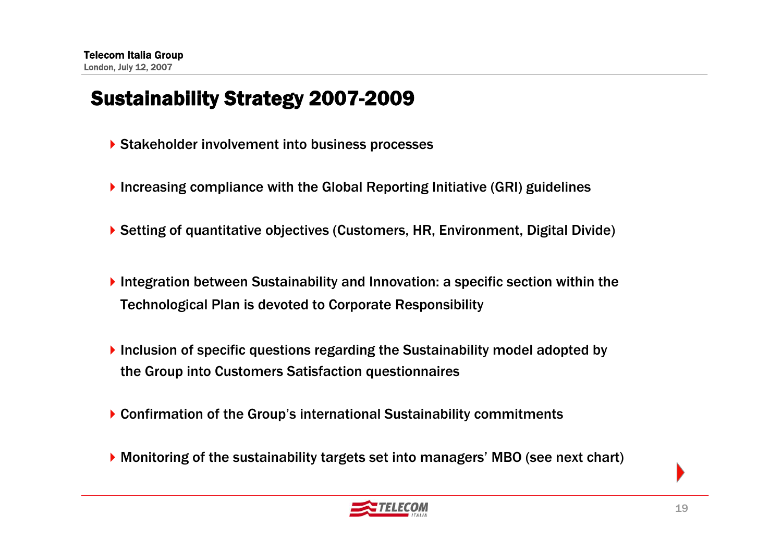# Sustainability Strategy 2007-2009

- ▶ Stakeholder involvement into business processes
- ▶ Increasing compliance with the Global Reporting Initiative (GRI) guidelines
- ▶ Setting of quantitative objectives (Customers, HR, Environment, Digital Divide)
- Integration between Sustainability and Innovation: a specific section within the Technological Plan is devoted to Corporate Responsibility
- Inclusion of specific questions regarding the Sustainability model adopted by the Group into Customers Satisfaction questionnaires
- ▶ Confirmation of the Group's international Sustainability commitments
- Monitoring of the sustainability targets set into managers' MBO (see next chart)

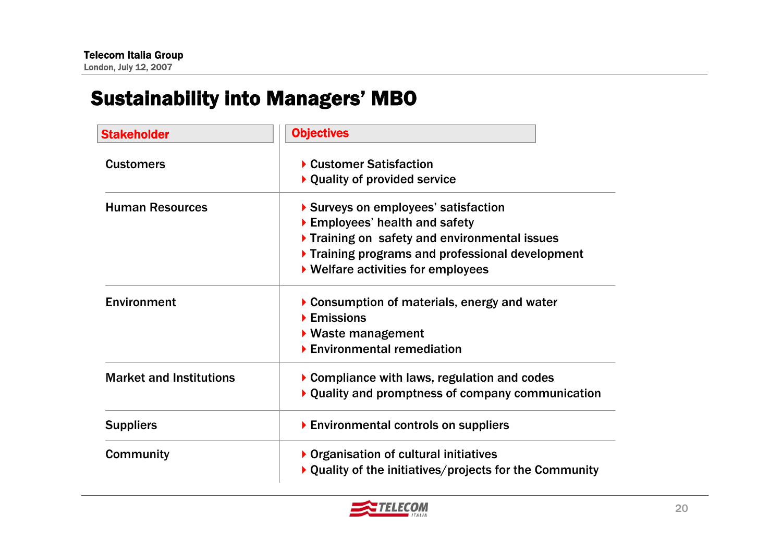# Sustainability into Managers' MBO

| <b>Stakeholder</b>             | <b>Objectives</b>                                                                                                                                                                                         |
|--------------------------------|-----------------------------------------------------------------------------------------------------------------------------------------------------------------------------------------------------------|
| <b>Customers</b>               | ▶ Customer Satisfaction<br>▶ Quality of provided service                                                                                                                                                  |
| <b>Human Resources</b>         | Surveys on employees' satisfaction<br>Employees' health and safety<br>Training on safety and environmental issues<br>Training programs and professional development<br>▶ Welfare activities for employees |
| Environment                    | $\triangleright$ Consumption of materials, energy and water<br>$\blacktriangleright$ Emissions<br>$\blacktriangleright$ Waste management<br>$\blacktriangleright$ Environmental remediation               |
| <b>Market and Institutions</b> | $\triangleright$ Compliance with laws, regulation and codes<br>$\triangleright$ Quality and promptness of company communication                                                                           |
| <b>Suppliers</b>               | Environmental controls on suppliers                                                                                                                                                                       |
| <b>Community</b>               | ▶ Organisation of cultural initiatives<br>$\blacktriangleright$ Quality of the initiatives/projects for the Community                                                                                     |

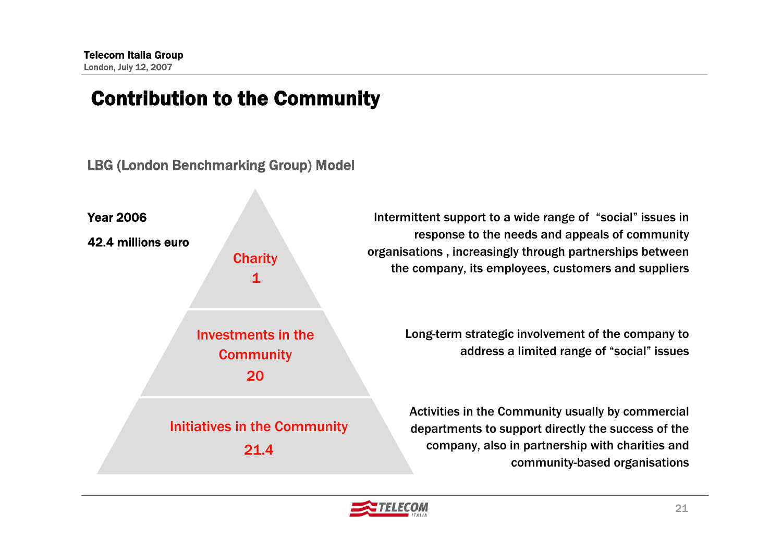### Contribution to the Community





Intermittent support to a wide range of "social" issues in response to the needs and appeals of community organisations , increasingly through partnerships between the company, its employees, customers and suppliers

> Long-term strategic involvement of the company to address a limited range of "social" issues

Activities in the Community usually by commercial departments to support directly the success of the company, also in partnership with charities and community-based organisations

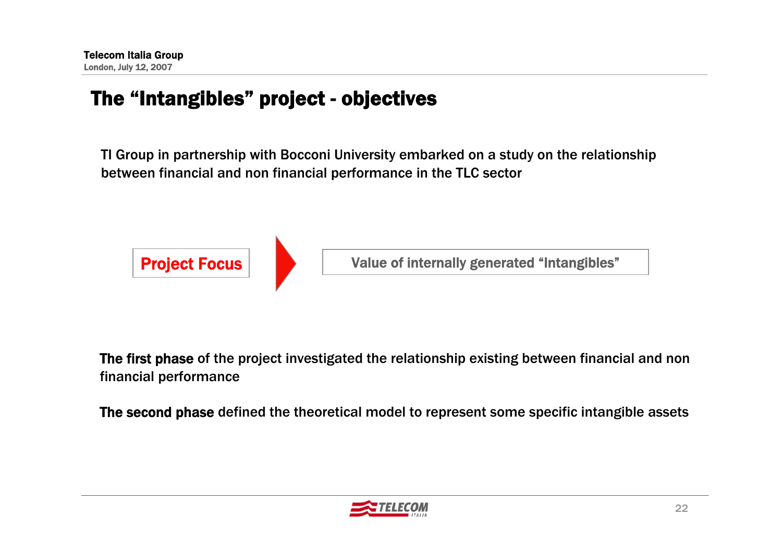# The "Intangibles" project - objectives

TI Group in partnership with Bocconi University embarked on a study on the relationship between financial and non financial performance in the TLC sector



The first phase of the project investigated the relationship existing between financial and non financial performance

The second phase defined the theoretical model to represent some specific intangible assets

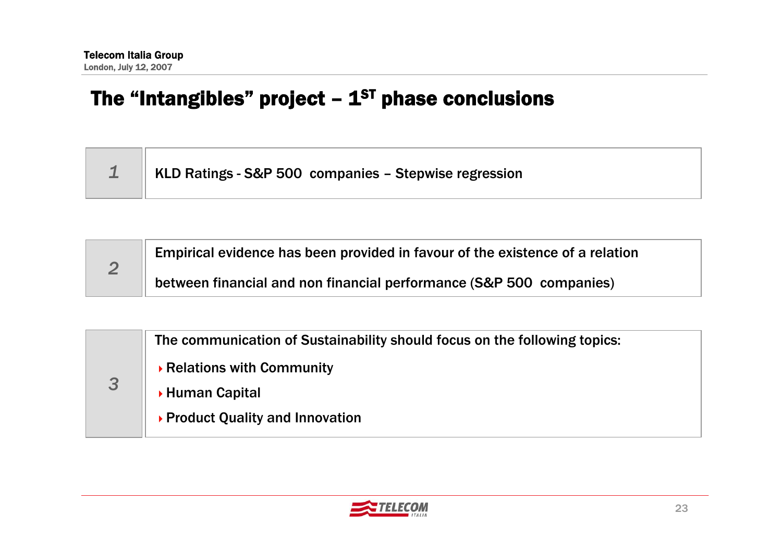# The "Intangibles" project  $-1<sup>ST</sup>$  phase conclusions

| $\parallel$ 1 $\parallel$ KLD Ratings - S&P 500 companies – Stepwise regression |
|---------------------------------------------------------------------------------|
|                                                                                 |

|  | Empirical evidence has been provided in favour of the existence of a relation |  |  |  |  |
|--|-------------------------------------------------------------------------------|--|--|--|--|
|  | between financial and non financial performance (S&P 500 companies)           |  |  |  |  |

| 3 | The communication of Sustainability should focus on the following topics: |
|---|---------------------------------------------------------------------------|
|   | ▶ Relations with Community                                                |
|   | ▶ Human Capital                                                           |
|   | ▶ Product Quality and Innovation                                          |
|   |                                                                           |

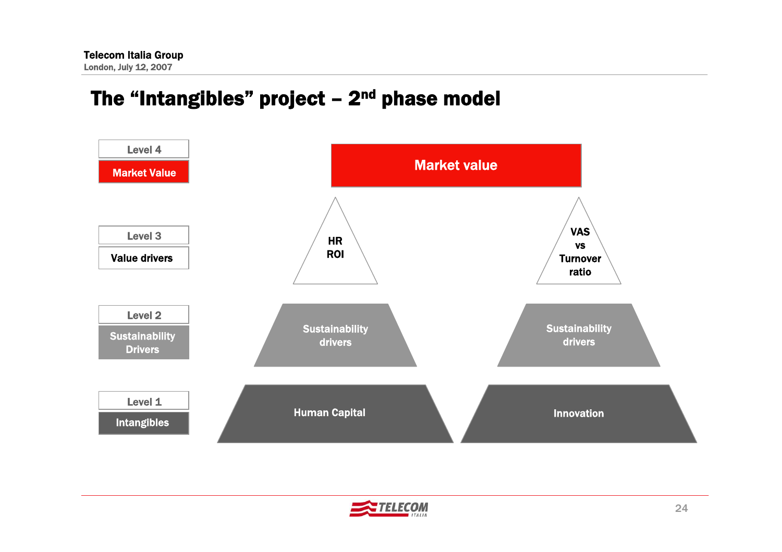# The "Intangibles" project  $-2<sup>nd</sup>$  phase model